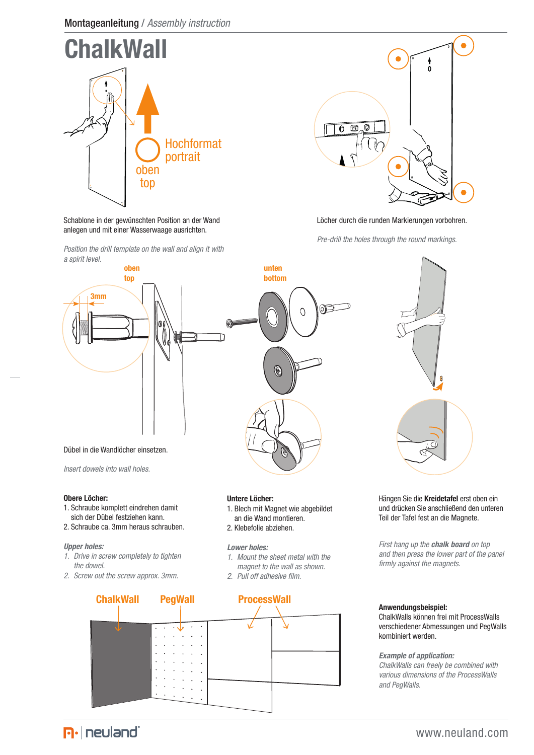



### Löcher durch die runden Markierungen vorbohren.

*Pre-drill the holes through the round markings.*



### **Obere Löcher:**

- 1. Schraube komplett eindrehen damit
- sich der Dübel festziehen kann. 2. Schraube ca. 3mm heraus schrauben.

## *Upper holes:*

- *1. Drive in screw completely to tighten the dowel.*
- *2. Screw out the screw approx. 3mm.*



- 1. Blech mit Magnet wie abgebildet an die Wand montieren.
- 2. Klebefolie abziehen.

### *Lower holes:*

- *1. Mount the sheet metal with the magnet to the wall as shown.*
- *2. Pull off adhesive film.*



#### Hängen Sie die **Kreidetafel** erst oben ein und drücken Sie anschließend den unteren Teil der Tafel fest an die Magnete.

*First hang up the chalk board on top and then press the lower part of the panel firmly against the magnets.*

#### **Anwendungsbeispiel:**

ChalkWalls können frei mit ProcessWalls verschiedener Abmessungen und PegWalls kombiniert werden.

#### *Example of application:*

*ChalkWalls can freely be combined with various dimensions of the ProcessWalls and PegWalls.*